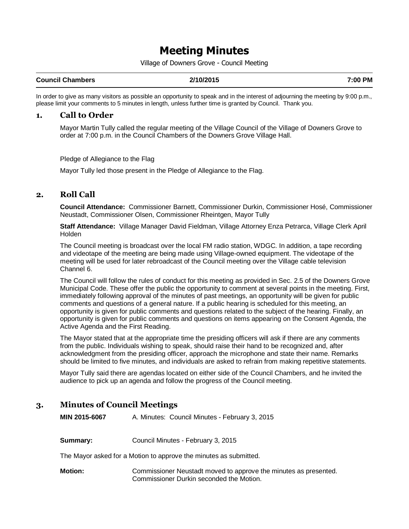# Meeting Minutes

Village of Downers Grove - Council Meeting

#### **Council Chambers 2/10/2015 7:00 PM**

In order to give as many visitors as possible an opportunity to speak and in the interest of adjourning the meeting by 9:00 p.m., please limit your comments to 5 minutes in length, unless further time is granted by Council. Thank you.

#### **1. Call to Order**

Mayor Martin Tully called the regular meeting of the Village Council of the Village of Downers Grove to order at 7:00 p.m. in the Council Chambers of the Downers Grove Village Hall.

Pledge of Allegiance to the Flag

Mayor Tully led those present in the Pledge of Allegiance to the Flag.

# **2. Roll Call**

**Council Attendance:** Commissioner Barnett, Commissioner Durkin, Commissioner Hosé, Commissioner Neustadt, Commissioner Olsen, Commissioner Rheintgen, Mayor Tully

**Staff Attendance:** Village Manager David Fieldman, Village Attorney Enza Petrarca, Village Clerk April **Holden** 

The Council meeting is broadcast over the local FM radio station, WDGC. In addition, a tape recording and videotape of the meeting are being made using Village-owned equipment. The videotape of the meeting will be used for later rebroadcast of the Council meeting over the Village cable television Channel 6.

The Council will follow the rules of conduct for this meeting as provided in Sec. 2.5 of the Downers Grove Municipal Code. These offer the public the opportunity to comment at several points in the meeting. First, immediately following approval of the minutes of past meetings, an opportunity will be given for public comments and questions of a general nature. If a public hearing is scheduled for this meeting, an opportunity is given for public comments and questions related to the subject of the hearing. Finally, an opportunity is given for public comments and questions on items appearing on the Consent Agenda, the Active Agenda and the First Reading.

The Mayor stated that at the appropriate time the presiding officers will ask if there are any comments from the public. Individuals wishing to speak, should raise their hand to be recognized and, after acknowledgment from the presiding officer, approach the microphone and state their name. Remarks should be limited to five minutes, and individuals are asked to refrain from making repetitive statements.

Mayor Tully said there are agendas located on either side of the Council Chambers, and he invited the audience to pick up an agenda and follow the progress of the Council meeting.

# **3. Minutes of Council Meetings**

**MIN 2015-6067** A. Minutes: Council Minutes - February 3, 2015

**Summary:** Council Minutes - February 3, 2015

The Mayor asked for a Motion to approve the minutes as submitted.

**Motion:** Commissioner Neustadt moved to approve the minutes as presented. Commissioner Durkin seconded the Motion.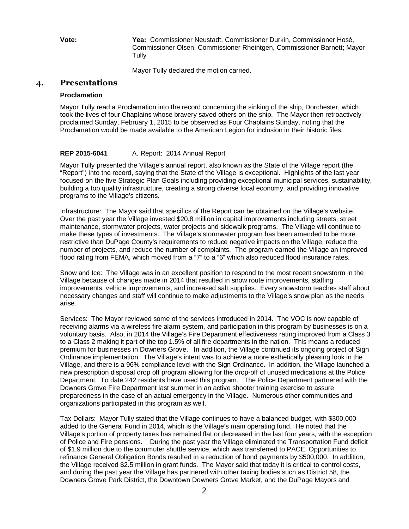**Vote: Yea:** Commissioner Neustadt, Commissioner Durkin, Commissioner Hosé, Commissioner Olsen, Commissioner Rheintgen, Commissioner Barnett; Mayor **Tully** 

Mayor Tully declared the motion carried.

## **4. Presentations**

#### **Proclamation**

Mayor Tully read a Proclamation into the record concerning the sinking of the ship, Dorchester, which took the lives of four Chaplains whose bravery saved others on the ship. The Mayor then retroactively proclaimed Sunday, February 1, 2015 to be observed as Four Chaplains Sunday, noting that the Proclamation would be made available to the American Legion for inclusion in their historic files.

#### **REP 2015-6041** A. Report: 2014 Annual Report

Mayor Tully presented the Village's annual report, also known as the State of the Village report (the "Report") into the record, saying that the State of the Village is exceptional. Highlights of the last year focused on the five Strategic Plan Goals including providing exceptional municipal services, sustainability, building a top quality infrastructure, creating a strong diverse local economy, and providing innovative programs to the Village's citizens.

Infrastructure: The Mayor said that specifics of the Report can be obtained on the Village's website. Over the past year the Village invested \$20.8 million in capital improvements including streets, street maintenance, stormwater projects, water projects and sidewalk programs. The Village will continue to make these types of investments. The Village's stormwater program has been amended to be more restrictive than DuPage County's requirements to reduce negative impacts on the Village, reduce the number of projects, and reduce the number of complaints. The program earned the Village an improved flood rating from FEMA, which moved from a "7" to a "6" which also reduced flood insurance rates.

Snow and Ice: The Village was in an excellent position to respond to the most recent snowstorm in the Village because of changes made in 2014 that resulted in snow route improvements, staffing improvements, vehicle improvements, and increased salt supplies. Every snowstorm teaches staff about necessary changes and staff will continue to make adjustments to the Village's snow plan as the needs arise.

Services: The Mayor reviewed some of the services introduced in 2014. The VOC is now capable of receiving alarms via a wireless fire alarm system, and participation in this program by businesses is on a voluntary basis. Also, in 2014 the Village's Fire Department effectiveness rating improved from a Class 3 to a Class 2 making it part of the top 1.5% of all fire departments in the nation. This means a reduced premium for businesses in Downers Grove. In addition, the Village continued its ongoing project of Sign Ordinance implementation. The Village's intent was to achieve a more esthetically pleasing look in the Village, and there is a 96% compliance level with the Sign Ordinance. In addition, the Village launched a new prescription disposal drop off program allowing for the drop-off of unused medications at the Police Department. To date 242 residents have used this program. The Police Department partnered with the Downers Grove Fire Department last summer in an active shooter training exercise to assure preparedness in the case of an actual emergency in the Village. Numerous other communities and organizations participated in this program as well.

Tax Dollars: Mayor Tully stated that the Village continues to have a balanced budget, with \$300,000 added to the General Fund in 2014, which is the Village's main operating fund. He noted that the Village's portion of property taxes has remained flat or decreased in the last four years, with the exception of Police and Fire pensions. During the past year the Village eliminated the Transportation Fund deficit of \$1.9 million due to the commuter shuttle service, which was transferred to PACE. Opportunities to refinance General Obligation Bonds resulted in a reduction of bond payments by \$500,000. In addition, the Village received \$2.5 million in grant funds. The Mayor said that today it is critical to control costs, and during the past year the Village has partnered with other taxing bodies such as District 58, the Downers Grove Park District, the Downtown Downers Grove Market, and the DuPage Mayors and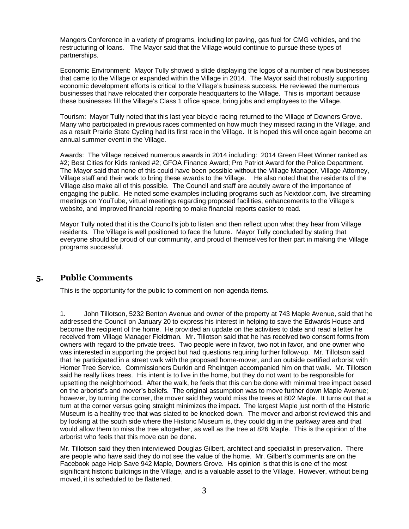Mangers Conference in a variety of programs, including lot paving, gas fuel for CMG vehicles, and the restructuring of loans. The Mayor said that the Village would continue to pursue these types of partnerships.

Economic Environment: Mayor Tully showed a slide displaying the logos of a number of new businesses that came to the Village or expanded within the Village in 2014. The Mayor said that robustly supporting economic development efforts is critical to the Village's business success. He reviewed the numerous businesses that have relocated their corporate headquarters to the Village. This is important because these businesses fill the Village's Class 1 office space, bring jobs and employees to the Village.

Tourism: Mayor Tully noted that this last year bicycle racing returned to the Village of Downers Grove. Many who participated in previous races commented on how much they missed racing in the Village, and as a result Prairie State Cycling had its first race in the Village. It is hoped this will once again become an annual summer event in the Village.

Awards: The Village received numerous awards in 2014 including: 2014 Green Fleet Winner ranked as #2; Best Cities for Kids ranked #2; GFOA Finance Award; Pro Patriot Award for the Police Department. The Mayor said that none of this could have been possible without the Village Manager, Village Attorney, Village staff and their work to bring these awards to the Village. He also noted that the residents of the Village also make all of this possible. The Council and staff are acutely aware of the importance of engaging the public. He noted some examples including programs such as Nextdoor.com, live streaming meetings on YouTube, virtual meetings regarding proposed facilities, enhancements to the Village's website, and improved financial reporting to make financial reports easier to read.

Mayor Tully noted that it is the Council's job to listen and then reflect upon what they hear from Village residents. The Village is well positioned to face the future. Mayor Tully concluded by stating that everyone should be proud of our community, and proud of themselves for their part in making the Village programs successful.

# **5. Public Comments**

This is the opportunity for the public to comment on non-agenda items.

1. John Tillotson, 5232 Benton Avenue and owner of the property at 743 Maple Avenue, said that he addressed the Council on January 20 to express his interest in helping to save the Edwards House and become the recipient of the home. He provided an update on the activities to date and read a letter he received from Village Manager Fieldman. Mr. Tillotson said that he has received two consent forms from owners with regard to the private trees. Two people were in favor, two not in favor, and one owner who was interested in supporting the project but had questions requiring further follow-up. Mr. Tillotson said that he participated in a street walk with the proposed home-mover, and an outside certified arborist with Homer Tree Service. Commissioners Durkin and Rheintgen accompanied him on that walk. Mr. Tillotson said he really likes trees. His intent is to live in the home, but they do not want to be responsible for upsetting the neighborhood. After the walk, he feels that this can be done with minimal tree impact based on the arborist's and mover's beliefs. The original assumption was to move further down Maple Avenue; however, by turning the corner, the mover said they would miss the trees at 802 Maple. It turns out that a turn at the corner versus going straight minimizes the impact. The largest Maple just north of the Historic Museum is a healthy tree that was slated to be knocked down. The mover and arborist reviewed this and by looking at the south side where the Historic Museum is, they could dig in the parkway area and that would allow them to miss the tree altogether, as well as the tree at 826 Maple. This is the opinion of the arborist who feels that this move can be done.

Mr. Tillotson said they then interviewed Douglas Gilbert, architect and specialist in preservation. There are people who have said they do not see the value of the home. Mr. Gilbert's comments are on the Facebook page Help Save 942 Maple, Downers Grove. His opinion is that this is one of the most significant historic buildings in the Village, and is a valuable asset to the Village. However, without being moved, it is scheduled to be flattened.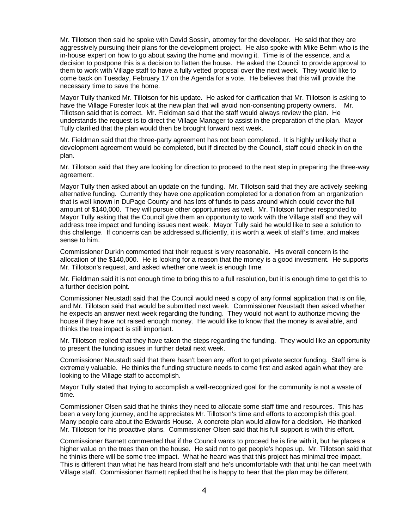Mr. Tillotson then said he spoke with David Sossin, attorney for the developer. He said that they are aggressively pursuing their plans for the development project. He also spoke with Mike Behm who is the in-house expert on how to go about saving the home and moving it. Time is of the essence, and a decision to postpone this is a decision to flatten the house. He asked the Council to provide approval to them to work with Village staff to have a fully vetted proposal over the next week. They would like to come back on Tuesday, February 17 on the Agenda for a vote. He believes that this will provide the necessary time to save the home.

Mayor Tully thanked Mr. Tillotson for his update. He asked for clarification that Mr. Tillotson is asking to have the Village Forester look at the new plan that will avoid non-consenting property owners. Mr. Tillotson said that is correct. Mr. Fieldman said that the staff would always review the plan. He understands the request is to direct the Village Manager to assist in the preparation of the plan. Mayor Tully clarified that the plan would then be brought forward next week.

Mr. Fieldman said that the three-party agreement has not been completed. It is highly unlikely that a development agreement would be completed, but if directed by the Council, staff could check in on the plan.

Mr. Tillotson said that they are looking for direction to proceed to the next step in preparing the three-way agreement.

Mayor Tully then asked about an update on the funding. Mr. Tillotson said that they are actively seeking alternative funding. Currently they have one application completed for a donation from an organization that is well known in DuPage County and has lots of funds to pass around which could cover the full amount of \$140,000. They will pursue other opportunities as well. Mr. Tillotson further responded to Mayor Tully asking that the Council give them an opportunity to work with the Village staff and they will address tree impact and funding issues next week. Mayor Tully said he would like to see a solution to this challenge. If concerns can be addressed sufficiently, it is worth a week of staff's time, and makes sense to him.

Commissioner Durkin commented that their request is very reasonable. His overall concern is the allocation of the \$140,000. He is looking for a reason that the money is a good investment. He supports Mr. Tillotson's request, and asked whether one week is enough time.

Mr. Fieldman said it is not enough time to bring this to a full resolution, but it is enough time to get this to a further decision point.

Commissioner Neustadt said that the Council would need a copy of any formal application that is on file, and Mr. Tillotson said that would be submitted next week. Commissioner Neustadt then asked whether he expects an answer next week regarding the funding. They would not want to authorize moving the house if they have not raised enough money. He would like to know that the money is available, and thinks the tree impact is still important.

Mr. Tillotson replied that they have taken the steps regarding the funding. They would like an opportunity to present the funding issues in further detail next week.

Commissioner Neustadt said that there hasn't been any effort to get private sector funding. Staff time is extremely valuable. He thinks the funding structure needs to come first and asked again what they are looking to the Village staff to accomplish.

Mayor Tully stated that trying to accomplish a well-recognized goal for the community is not a waste of time.

Commissioner Olsen said that he thinks they need to allocate some staff time and resources. This has been a very long journey, and he appreciates Mr. Tillotson's time and efforts to accomplish this goal. Many people care about the Edwards House. A concrete plan would allow for a decision. He thanked Mr. Tillotson for his proactive plans. Commissioner Olsen said that his full support is with this effort.

Commissioner Barnett commented that if the Council wants to proceed he is fine with it, but he places a higher value on the trees than on the house. He said not to get people's hopes up. Mr. Tillotson said that he thinks there will be some tree impact. What he heard was that this project has minimal tree impact. This is different than what he has heard from staff and he's uncomfortable with that until he can meet with Village staff. Commissioner Barnett replied that he is happy to hear that the plan may be different.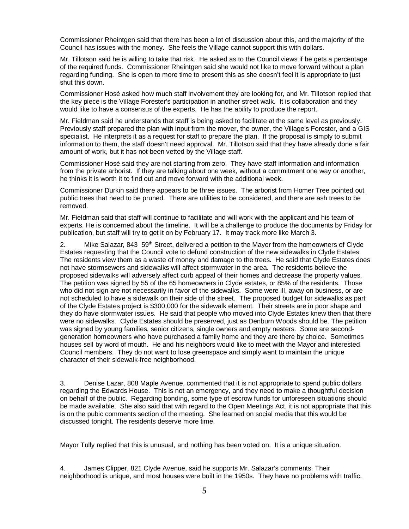Commissioner Rheintgen said that there has been a lot of discussion about this, and the majority of the Council has issues with the money. She feels the Village cannot support this with dollars.

Mr. Tillotson said he is willing to take that risk. He asked as to the Council views if he gets a percentage of the required funds. Commissioner Rheintgen said she would not like to move forward without a plan regarding funding. She is open to more time to present this as she doesn't feel it is appropriate to just shut this down.

Commissioner Hosé asked how much staff involvement they are looking for, and Mr. Tillotson replied that the key piece is the Village Forester's participation in another street walk. It is collaboration and they would like to have a consensus of the experts. He has the ability to produce the report.

Mr. Fieldman said he understands that staff is being asked to facilitate at the same level as previously. Previously staff prepared the plan with input from the mover, the owner, the Village's Forester, and a GIS specialist. He interprets it as a request for staff to prepare the plan. If the proposal is simply to submit information to them, the staff doesn't need approval. Mr. Tillotson said that they have already done a fair amount of work, but it has not been vetted by the Village staff.

Commissioner Hosé said they are not starting from zero. They have staff information and information from the private arborist. If they are talking about one week, without a commitment one way or another, he thinks it is worth it to find out and move forward with the additional week.

Commissioner Durkin said there appears to be three issues. The arborist from Homer Tree pointed out public trees that need to be pruned. There are utilities to be considered, and there are ash trees to be removed.

Mr. Fieldman said that staff will continue to facilitate and will work with the applicant and his team of experts. He is concerned about the timeline. It will be a challenge to produce the documents by Friday for publication, but staff will try to get it on by February 17. It may track more like March 3.

2. Mike Salazar, 843 59<sup>th</sup> Street, delivered a petition to the Mayor from the homeowners of Clyde Estates requesting that the Council vote to defund construction of the new sidewalks in Clyde Estates. The residents view them as a waste of money and damage to the trees. He said that Clyde Estates does not have stormsewers and sidewalks will affect stormwater in the area. The residents believe the proposed sidewalks will adversely affect curb appeal of their homes and decrease the property values. The petition was signed by 55 of the 65 homeowners in Clyde estates, or 85% of the residents. Those who did not sign are not necessarily in favor of the sidewalks. Some were ill, away on business, or are not scheduled to have a sidewalk on their side of the street. The proposed budget for sidewalks as part of the Clyde Estates project is \$300,000 for the sidewalk element. Their streets are in poor shape and they do have stormwater issues. He said that people who moved into Clyde Estates knew then that there were no sidewalks. Clyde Estates should be preserved, just as Denburn Woods should be. The petition was signed by young families, senior citizens, single owners and empty nesters. Some are secondgeneration homeowners who have purchased a family home and they are there by choice. Sometimes houses sell by word of mouth. He and his neighbors would like to meet with the Mayor and interested Council members. They do not want to lose greenspace and simply want to maintain the unique character of their sidewalk-free neighborhood.

3. Denise Lazar, 808 Maple Avenue, commented that it is not appropriate to spend public dollars regarding the Edwards House. This is not an emergency, and they need to make a thoughtful decision on behalf of the public. Regarding bonding, some type of escrow funds for unforeseen situations should be made available. She also said that with regard to the Open Meetings Act, it is not appropriate that this is on the pubic comments section of the meeting. She learned on social media that this would be discussed tonight. The residents deserve more time.

Mayor Tully replied that this is unusual, and nothing has been voted on. It is a unique situation.

4. James Clipper, 821 Clyde Avenue, said he supports Mr. Salazar's comments. Their neighborhood is unique, and most houses were built in the 1950s. They have no problems with traffic.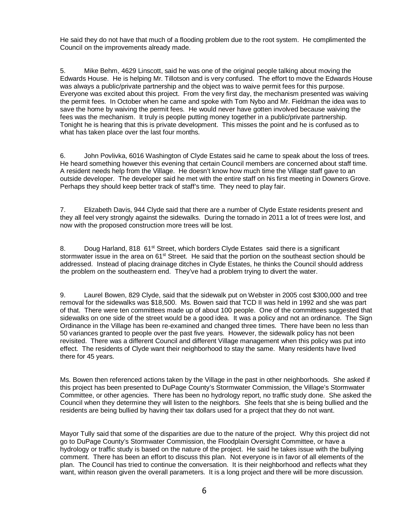He said they do not have that much of a flooding problem due to the root system. He complimented the Council on the improvements already made.

5. Mike Behm, 4629 Linscott, said he was one of the original people talking about moving the Edwards House. He is helping Mr. Tillotson and is very confused. The effort to move the Edwards House was always a public/private partnership and the object was to waive permit fees for this purpose. Everyone was excited about this project. From the very first day, the mechanism presented was waiving the permit fees. In October when he came and spoke with Tom Nybo and Mr. Fieldman the idea was to save the home by waiving the permit fees. He would never have gotten involved because waiving the fees was the mechanism. It truly is people putting money together in a public/private partnership. Tonight he is hearing that this is private development. This misses the point and he is confused as to what has taken place over the last four months.

6. John Povlivka, 6016 Washington of Clyde Estates said he came to speak about the loss of trees. He heard something however this evening that certain Council members are concerned about staff time. A resident needs help from the Village. He doesn't know how much time the Village staff gave to an outside developer. The developer said he met with the entire staff on his first meeting in Downers Grove. Perhaps they should keep better track of staff's time. They need to play fair.

7. Elizabeth Davis, 944 Clyde said that there are a number of Clyde Estate residents present and they all feel very strongly against the sidewalks. During the tornado in 2011 a lot of trees were lost, and now with the proposed construction more trees will be lost.

8. Doug Harland, 818 61<sup>st</sup> Street, which borders Clyde Estates said there is a significant stormwater issue in the area on 61<sup>st</sup> Street. He said that the portion on the southeast section should be addressed. Instead of placing drainage ditches in Clyde Estates, he thinks the Council should address the problem on the southeastern end. They've had a problem trying to divert the water.

9. Laurel Bowen, 829 Clyde, said that the sidewalk put on Webster in 2005 cost \$300,000 and tree removal for the sidewalks was \$18,500. Ms. Bowen said that TCD II was held in 1992 and she was part of that. There were ten committees made up of about 100 people. One of the committees suggested that sidewalks on one side of the street would be a good idea. It was a policy and not an ordinance. The Sign Ordinance in the Village has been re-examined and changed three times. There have been no less than 50 variances granted to people over the past five years. However, the sidewalk policy has not been revisited. There was a different Council and different Village management when this policy was put into effect. The residents of Clyde want their neighborhood to stay the same. Many residents have lived there for 45 years.

Ms. Bowen then referenced actions taken by the Village in the past in other neighborhoods. She asked if this project has been presented to DuPage County's Stormwater Commission, the Village's Stormwater Committee, or other agencies. There has been no hydrology report, no traffic study done. She asked the Council when they determine they will listen to the neighbors. She feels that she is being bullied and the residents are being bullied by having their tax dollars used for a project that they do not want.

Mayor Tully said that some of the disparities are due to the nature of the project. Why this project did not go to DuPage County's Stormwater Commission, the Floodplain Oversight Committee, or have a hydrology or traffic study is based on the nature of the project. He said he takes issue with the bullying comment. There has been an effort to discuss this plan. Not everyone is in favor of all elements of the plan. The Council has tried to continue the conversation. It is their neighborhood and reflects what they want, within reason given the overall parameters. It is a long project and there will be more discussion.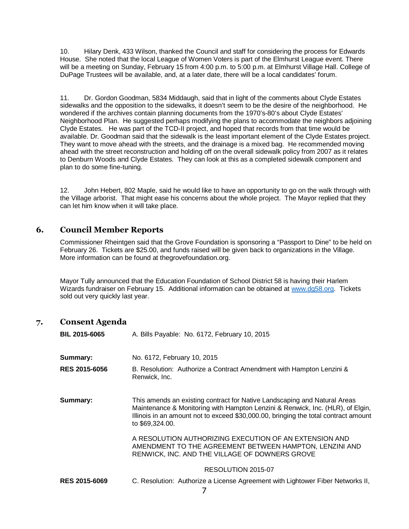10. Hilary Denk, 433 Wilson, thanked the Council and staff for considering the process for Edwards House. She noted that the local League of Women Voters is part of the Elmhurst League event. There will be a meeting on Sunday, February 15 from 4:00 p.m. to 5:00 p.m. at Elmhurst Village Hall. College of DuPage Trustees will be available, and, at a later date, there will be a local candidates' forum.

11. Dr. Gordon Goodman, 5834 Middaugh, said that in light of the comments about Clyde Estates sidewalks and the opposition to the sidewalks, it doesn't seem to be the desire of the neighborhood. He wondered if the archives contain planning documents from the 1970's-80's about Clyde Estates' Neighborhood Plan. He suggested perhaps modifying the plans to accommodate the neighbors adjoining Clyde Estates. He was part of the TCD-II project, and hoped that records from that time would be available. Dr. Goodman said that the sidewalk is the least important element of the Clyde Estates project. They want to move ahead with the streets, and the drainage is a mixed bag. He recommended moving ahead with the street reconstruction and holding off on the overall sidewalk policy from 2007 as it relates to Denburn Woods and Clyde Estates. They can look at this as a completed sidewalk component and plan to do some fine-tuning.

12. John Hebert, 802 Maple, said he would like to have an opportunity to go on the walk through with the Village arborist. That might ease his concerns about the whole project. The Mayor replied that they can let him know when it will take place.

# **6. Council Member Reports**

Commissioner Rheintgen said that the Grove Foundation is sponsoring a "Passport to Dine" to be held on February 26. Tickets are \$25.00, and funds raised will be given back to organizations in the Village. More information can be found at thegrovefoundation.org.

Mayor Tully announced that the Education Foundation of School District 58 is having their Harlem Wizards fundraiser on February 15. Additional information can be obtained at www.dg58.org. Tickets sold out very quickly last year.

# **7. Consent Agenda**

| <b>BIL 2015-6065</b> | A. Bills Payable: No. 6172, February 10, 2015                                                                                                                                                                                                                         |
|----------------------|-----------------------------------------------------------------------------------------------------------------------------------------------------------------------------------------------------------------------------------------------------------------------|
| Summary:             | No. 6172, February 10, 2015                                                                                                                                                                                                                                           |
| <b>RES 2015-6056</b> | B. Resolution: Authorize a Contract Amendment with Hampton Lenzini &<br>Renwick, Inc.                                                                                                                                                                                 |
| Summary:             | This amends an existing contract for Native Landscaping and Natural Areas<br>Maintenance & Monitoring with Hampton Lenzini & Renwick, Inc. (HLR), of Elgin,<br>Illinois in an amount not to exceed \$30,000.00, bringing the total contract amount<br>to \$69,324.00. |
|                      | A RESOLUTION AUTHORIZING EXECUTION OF AN EXTENSION AND<br>AMENDMENT TO THE AGREEMENT BETWEEN HAMPTON, LENZINI AND<br>RENWICK, INC. AND THE VILLAGE OF DOWNERS GROVE                                                                                                   |
|                      | RESOLUTION 2015-07                                                                                                                                                                                                                                                    |
| <b>RES 2015-6069</b> | C. Resolution: Authorize a License Agreement with Lightower Fiber Networks II,                                                                                                                                                                                        |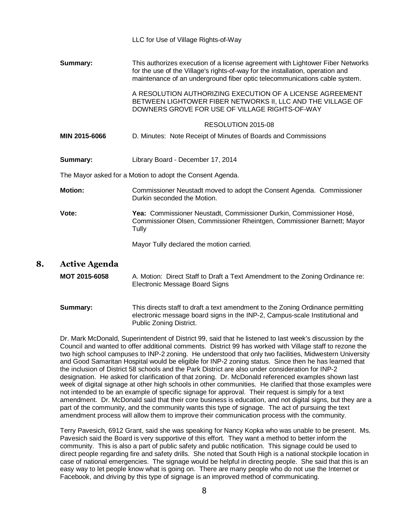|    |                      | LLC for Use of Village Rights-of-Way                                                                                                                                                                                                           |
|----|----------------------|------------------------------------------------------------------------------------------------------------------------------------------------------------------------------------------------------------------------------------------------|
|    | Summary:             | This authorizes execution of a license agreement with Lightower Fiber Networks<br>for the use of the Village's rights-of-way for the installation, operation and<br>maintenance of an underground fiber optic telecommunications cable system. |
|    |                      | A RESOLUTION AUTHORIZING EXECUTION OF A LICENSE AGREEMENT<br>BETWEEN LIGHTOWER FIBER NETWORKS II, LLC AND THE VILLAGE OF<br>DOWNERS GROVE FOR USE OF VILLAGE RIGHTS-OF-WAY                                                                     |
|    |                      | RESOLUTION 2015-08                                                                                                                                                                                                                             |
|    | MIN 2015-6066        | D. Minutes: Note Receipt of Minutes of Boards and Commissions                                                                                                                                                                                  |
|    | Summary:             | Library Board - December 17, 2014                                                                                                                                                                                                              |
|    |                      | The Mayor asked for a Motion to adopt the Consent Agenda.                                                                                                                                                                                      |
|    | <b>Motion:</b>       | Commissioner Neustadt moved to adopt the Consent Agenda. Commissioner<br>Durkin seconded the Motion.                                                                                                                                           |
|    | Vote:                | Yea: Commissioner Neustadt, Commissioner Durkin, Commissioner Hosé,<br>Commissioner Olsen, Commissioner Rheintgen, Commissioner Barnett; Mayor<br>Tully                                                                                        |
|    |                      | Mayor Tully declared the motion carried.                                                                                                                                                                                                       |
| 8. | <b>Active Agenda</b> |                                                                                                                                                                                                                                                |
|    | <b>MOT 2015-6058</b> | A. Motion: Direct Staff to Draft a Text Amendment to the Zoning Ordinance re:<br>Electronic Message Board Signs                                                                                                                                |

**Summary:** This directs staff to draft a text amendment to the Zoning Ordinance permitting electronic message board signs in the INP-2, Campus-scale Institutional and Public Zoning District.

Dr. Mark McDonald, Superintendent of District 99, said that he listened to last week's discussion by the Council and wanted to offer additional comments. District 99 has worked with Village staff to rezone the two high school campuses to INP-2 zoning. He understood that only two facilities, Midwestern University and Good Samaritan Hospital would be eligible for INP-2 zoning status. Since then he has learned that the inclusion of District 58 schools and the Park District are also under consideration for INP-2 designation. He asked for clarification of that zoning. Dr. McDonald referenced examples shown last week of digital signage at other high schools in other communities. He clarified that those examples were not intended to be an example of specific signage for approval. Their request is simply for a text amendment. Dr. McDonald said that their core business is education, and not digital signs, but they are a part of the community, and the community wants this type of signage. The act of pursuing the text amendment process will allow them to improve their communication process with the community.

Terry Pavesich, 6912 Grant, said she was speaking for Nancy Kopka who was unable to be present. Ms. Pavesich said the Board is very supportive of this effort. They want a method to better inform the community. This is also a part of public safety and public notification. This signage could be used to direct people regarding fire and safety drills. She noted that South High is a national stockpile location in case of national emergencies. The signage would be helpful in directing people. She said that this is an easy way to let people know what is going on. There are many people who do not use the Internet or Facebook, and driving by this type of signage is an improved method of communicating.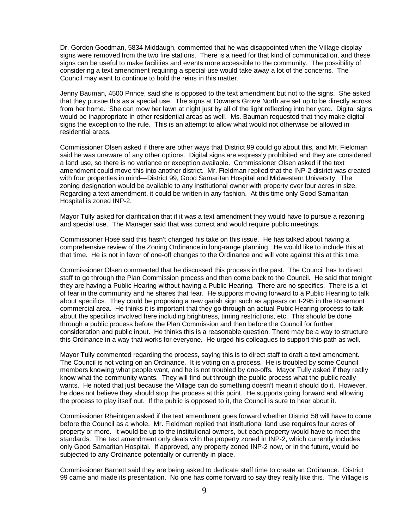Dr. Gordon Goodman, 5834 Middaugh, commented that he was disappointed when the Village display signs were removed from the two fire stations. There is a need for that kind of communication, and these signs can be useful to make facilities and events more accessible to the community. The possibility of considering a text amendment requiring a special use would take away a lot of the concerns. The Council may want to continue to hold the reins in this matter.

Jenny Bauman, 4500 Prince, said she is opposed to the text amendment but not to the signs. She asked that they pursue this as a special use. The signs at Downers Grove North are set up to be directly across from her home. She can mow her lawn at night just by all of the light reflecting into her yard. Digital signs would be inappropriate in other residential areas as well. Ms. Bauman requested that they make digital signs the exception to the rule. This is an attempt to allow what would not otherwise be allowed in residential areas.

Commissioner Olsen asked if there are other ways that District 99 could go about this, and Mr. Fieldman said he was unaware of any other options. Digital signs are expressly prohibited and they are considered a land use, so there is no variance or exception available. Commissioner Olsen asked if the text amendment could move this into another district. Mr. Fieldman replied that the INP-2 district was created with four properties in mind—District 99, Good Samaritan Hospital and Midwestern University. The zoning designation would be available to any institutional owner with property over four acres in size. Regarding a text amendment, it could be written in any fashion. At this time only Good Samaritan Hospital is zoned INP-2.

Mayor Tully asked for clarification that if it was a text amendment they would have to pursue a rezoning and special use. The Manager said that was correct and would require public meetings.

Commissioner Hosé said this hasn't changed his take on this issue. He has talked about having a comprehensive review of the Zoning Ordinance in long-range planning. He would like to include this at that time. He is not in favor of one-off changes to the Ordinance and will vote against this at this time.

Commissioner Olsen commented that he discussed this process in the past. The Council has to direct staff to go through the Plan Commission process and then come back to the Council. He said that tonight they are having a Public Hearing without having a Public Hearing. There are no specifics. There is a lot of fear in the community and he shares that fear. He supports moving forward to a Public Hearing to talk about specifics. They could be proposing a new garish sign such as appears on I-295 in the Rosemont commercial area. He thinks it is important that they go through an actual Pubic Hearing process to talk about the specifics involved here including brightness, timing restrictions, etc. This should be done through a public process before the Plan Commission and then before the Council for further consideration and public input. He thinks this is a reasonable question. There may be a way to structure this Ordinance in a way that works for everyone. He urged his colleagues to support this path as well.

Mayor Tully commented regarding the process, saying this is to direct staff to draft a text amendment. The Council is not voting on an Ordinance. It is voting on a process. He is troubled by some Council members knowing what people want, and he is not troubled by one-offs. Mayor Tully asked if they really know what the community wants. They will find out through the public process what the public really wants. He noted that just because the Village can do something doesn't mean it should do it. However, he does not believe they should stop the process at this point. He supports going forward and allowing the process to play itself out. If the public is opposed to it, the Council is sure to hear about it.

Commissioner Rheintgen asked if the text amendment goes forward whether District 58 will have to come before the Council as a whole. Mr. Fieldman replied that institutional land use requires four acres of property or more. It would be up to the institutional owners, but each property would have to meet the standards. The text amendment only deals with the property zoned in INP-2, which currently includes only Good Samaritan Hospital. If approved, any property zoned INP-2 now, or in the future, would be subjected to any Ordinance potentially or currently in place.

Commissioner Barnett said they are being asked to dedicate staff time to create an Ordinance. District 99 came and made its presentation. No one has come forward to say they really like this. The Village is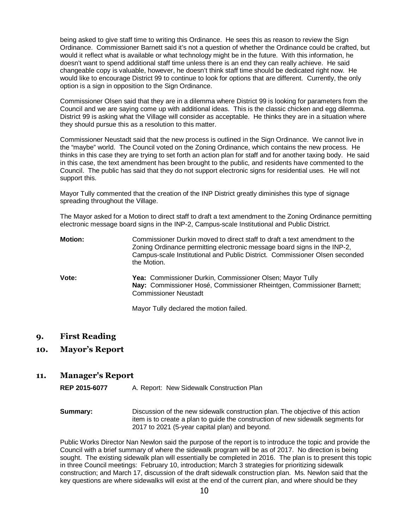being asked to give staff time to writing this Ordinance. He sees this as reason to review the Sign Ordinance. Commissioner Barnett said it's not a question of whether the Ordinance could be crafted, but would it reflect what is available or what technology might be in the future. With this information, he doesn't want to spend additional staff time unless there is an end they can really achieve. He said changeable copy is valuable, however, he doesn't think staff time should be dedicated right now. He would like to encourage District 99 to continue to look for options that are different. Currently, the only option is a sign in opposition to the Sign Ordinance.

Commissioner Olsen said that they are in a dilemma where District 99 is looking for parameters from the Council and we are saying come up with additional ideas. This is the classic chicken and egg dilemma. District 99 is asking what the Village will consider as acceptable. He thinks they are in a situation where they should pursue this as a resolution to this matter.

Commissioner Neustadt said that the new process is outlined in the Sign Ordinance. We cannot live in the "maybe" world. The Council voted on the Zoning Ordinance, which contains the new process. He thinks in this case they are trying to set forth an action plan for staff and for another taxing body. He said in this case, the text amendment has been brought to the public, and residents have commented to the Council. The public has said that they do not support electronic signs for residential uses. He will not support this.

Mayor Tully commented that the creation of the INP District greatly diminishes this type of signage spreading throughout the Village.

The Mayor asked for a Motion to direct staff to draft a text amendment to the Zoning Ordinance permitting electronic message board signs in the INP-2, Campus-scale Institutional and Public District.

| <b>Motion:</b> | Commissioner Durkin moved to direct staff to draft a text amendment to the<br>Zoning Ordinance permitting electronic message board signs in the INP-2,<br>Campus-scale Institutional and Public District. Commissioner Olsen seconded<br>the Motion. |
|----------------|------------------------------------------------------------------------------------------------------------------------------------------------------------------------------------------------------------------------------------------------------|
| Vote:          | Yea: Commissioner Durkin, Commissioner Olsen; Mayor Tully<br>Nay: Commissioner Hosé, Commissioner Rheintgen, Commissioner Barnett;<br><b>Commissioner Neustadt</b>                                                                                   |
|                | Mayor Tully declared the motion failed.                                                                                                                                                                                                              |

**9. First Reading** 

**10. Mayor's Report** 

#### **11. Manager's Report**

**REP 2015-6077** A. Report: New Sidewalk Construction Plan

**Summary:** Discussion of the new sidewalk construction plan. The objective of this action item is to create a plan to guide the construction of new sidewalk segments for 2017 to 2021 (5-year capital plan) and beyond.

Public Works Director Nan Newlon said the purpose of the report is to introduce the topic and provide the Council with a brief summary of where the sidewalk program will be as of 2017. No direction is being sought. The existing sidewalk plan will essentially be completed in 2016. The plan is to present this topic in three Council meetings: February 10, introduction; March 3 strategies for prioritizing sidewalk construction; and March 17, discussion of the draft sidewalk construction plan. Ms. Newlon said that the key questions are where sidewalks will exist at the end of the current plan, and where should be they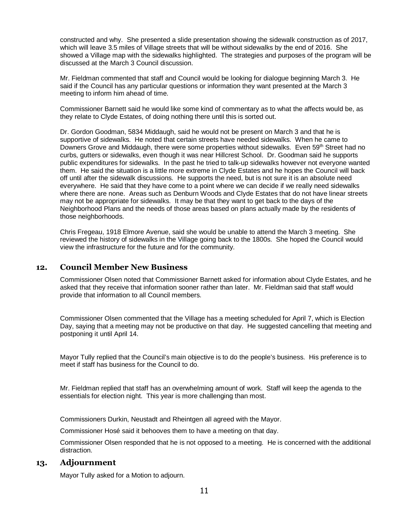constructed and why. She presented a slide presentation showing the sidewalk construction as of 2017, which will leave 3.5 miles of Village streets that will be without sidewalks by the end of 2016. She showed a Village map with the sidewalks highlighted. The strategies and purposes of the program will be discussed at the March 3 Council discussion.

Mr. Fieldman commented that staff and Council would be looking for dialogue beginning March 3. He said if the Council has any particular questions or information they want presented at the March 3 meeting to inform him ahead of time.

Commissioner Barnett said he would like some kind of commentary as to what the affects would be, as they relate to Clyde Estates, of doing nothing there until this is sorted out.

Dr. Gordon Goodman, 5834 Middaugh, said he would not be present on March 3 and that he is supportive of sidewalks. He noted that certain streets have needed sidewalks. When he came to Downers Grove and Middaugh, there were some properties without sidewalks. Even 59<sup>th</sup> Street had no curbs, gutters or sidewalks, even though it was near Hillcrest School. Dr. Goodman said he supports public expenditures for sidewalks. In the past he tried to talk-up sidewalks however not everyone wanted them. He said the situation is a little more extreme in Clyde Estates and he hopes the Council will back off until after the sidewalk discussions. He supports the need, but is not sure it is an absolute need everywhere. He said that they have come to a point where we can decide if we really need sidewalks where there are none. Areas such as Denburn Woods and Clyde Estates that do not have linear streets may not be appropriate for sidewalks. It may be that they want to get back to the days of the Neighborhood Plans and the needs of those areas based on plans actually made by the residents of those neighborhoods.

Chris Fregeau, 1918 Elmore Avenue, said she would be unable to attend the March 3 meeting. She reviewed the history of sidewalks in the Village going back to the 1800s. She hoped the Council would view the infrastructure for the future and for the community.

# **12. Council Member New Business**

Commissioner Olsen noted that Commissioner Barnett asked for information about Clyde Estates, and he asked that they receive that information sooner rather than later. Mr. Fieldman said that staff would provide that information to all Council members.

Commissioner Olsen commented that the Village has a meeting scheduled for April 7, which is Election Day, saying that a meeting may not be productive on that day. He suggested cancelling that meeting and postponing it until April 14.

Mayor Tully replied that the Council's main objective is to do the people's business. His preference is to meet if staff has business for the Council to do.

Mr. Fieldman replied that staff has an overwhelming amount of work. Staff will keep the agenda to the essentials for election night. This year is more challenging than most.

Commissioners Durkin, Neustadt and Rheintgen all agreed with the Mayor.

Commissioner Hosé said it behooves them to have a meeting on that day.

Commissioner Olsen responded that he is not opposed to a meeting. He is concerned with the additional distraction.

## **13. Adjournment**

Mayor Tully asked for a Motion to adjourn.